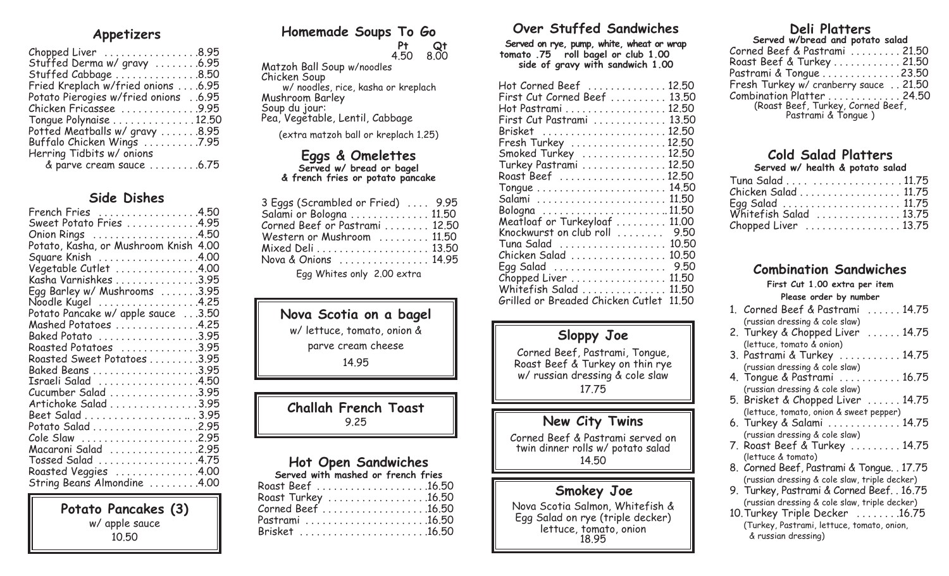# **Appetizers**

| Chopped Liver 8.95                    |
|---------------------------------------|
| Stuffed Derma w/ gravy 6.95           |
| Stuffed Cabbage 8.50                  |
| Fried Kreplach w/fried onions 6.95    |
| 6.95. Potato Pierogies w/fried onions |
| Chicken Fricassee 9.95                |
| Tongue Polynaise 12.50                |
| Potted Meatballs w/ gravy 8.95        |
| Buffalo Chicken Wings 7.95            |
|                                       |
| & parve cream sauce 6.75              |
|                                       |

## **Side Dishes**

| French Fries 4.50                                                  |
|--------------------------------------------------------------------|
| Sweet Potato Fries 4.95                                            |
|                                                                    |
| Onion Rings<br>Potato, Kasha, or Mushroom Knish 4.00               |
| Square Knish 4.00                                                  |
| Vegetable Cutlet 4.00                                              |
|                                                                    |
| Kasha Varnishkes 3.95                                              |
| Egg Barley w/ Mushrooms 3.95                                       |
| Noodle Kugel 4.25<br>Potato Pancake w/ apple sauce 3.50            |
|                                                                    |
| $Mashed$ Potatoes $\ldots \ldots \ldots \ldots 4.25$               |
|                                                                    |
| $\textsf{Roasted\; Potatoes\quad \ldots \ldots \ldots \ldots 3.95$ |
| Roasted Sweet Potatoes 3.95                                        |
|                                                                    |
| Israeli Salad 4.50                                                 |
| Cucumber Salad 3.95                                                |
| Artichoke Salad 3.95                                               |
| Beet Salad 3.95                                                    |
| Potato Salad 2.95                                                  |
| Cole Slaw 2.95                                                     |
| Macaroni Salad 2.95                                                |
| Tossed Salad 4.75                                                  |
|                                                                    |
| Roasted Veggies 4.00                                               |
| String Beans Almondine 4.00                                        |

**Potato Pancakes (3)**  w/ apple sauce 10.50

# **Homemade Soups To Go**

 **Pt Qt** 4.50 8.00 Matzoh Ball Soup w/noodles Chicken Soup w/ noodles, rice, kasha or kreplach Mushroom Barley Soup du jour: Pea, Vegetable, Lentil, Cabbage

(extra matzoh ball or kreplach 1.25)

# **Eggs & Omelettes**

**Served w/ bread or bagel & french fries or potato pancake** 

| 3 Eggs (Scrambled or Fried)  9.95<br>Salami or Bologna 11.50<br>Corned Beef or Pastrami  12.50<br>Western or Mushroom  11.50<br>Nova & Onions  14.95 |  |
|------------------------------------------------------------------------------------------------------------------------------------------------------|--|
| $E_{00}$ Whitee only $200$ extra                                                                                                                     |  |

Egg Whites only 2.00 extra

# **Nova Scotia on a bagel**

w/ lettuce, tomato, onion &

parve cream cheese

14.95

# **Challah French Toast**  9.25

# **Hot Open Sandwiches**

| Served with mashed or french fries |
|------------------------------------|
|                                    |
| Roast Turkey 16.50                 |
| Corned Beef 16.50                  |
| Pastrami 16.50                     |
| Brisket 16.50                      |

# **Over Stuffed Sandwiches**

**Served on rye, pump, white, wheat or wrap tomato .75 roll bagel or club 1.00 side of gravy with sandwich 1.00** 

| Hot Corned Beef  12.50                     |  |
|--------------------------------------------|--|
| First Cut Corned Beef  13.50               |  |
| Hot Pastrami 12.50                         |  |
| First Cut Pastrami  13.50                  |  |
| Brisket 12.50                              |  |
| Fresh Turkey 12.50                         |  |
| Smoked Turkey  12.50                       |  |
| Turkey Pastrami  12.50                     |  |
|                                            |  |
|                                            |  |
| 11.50                                      |  |
|                                            |  |
| Meatloaf or Turkeyloaf<br>11.00            |  |
| Knockwurst on club roll  9.50              |  |
| 10.50<br>Tuna Salad                        |  |
| Chicken Salad<br>10.50                     |  |
| Egg Salad<br>9.50                          |  |
| Chopped Liver<br>11,50                     |  |
| Whitefish Salad<br>11,50                   |  |
| Grilled or Breaded Chicken Cutlet<br>11.50 |  |

# **Sloppy Joe**

Corned Beef, Pastrami, Tongue, Roast Beef & Turkey on thin rye w/ russian dressing & cole slaw 17.75

# **New City Twins**

Corned Beef & Pastrami served on twin dinner rolls w/ potato salad 14.50

### **Smokey Joe**

Nova Scotia Salmon, Whitefish & Egg Salad on rye (triple decker) lettuce, tomato, onion 18.95

# **Deli Platters**

| Served w/bread and potato salad                           |  |
|-----------------------------------------------------------|--|
| Corned Beef & Pastrami 21.50                              |  |
| Roast Beef & Turkey 21.50                                 |  |
| Pastrami & Tongue 23.50                                   |  |
| Fresh Turkey w/ cranberry sauce  21.50                    |  |
| $Combination$ Platter $\ldots \ldots \ldots \ldots 24.50$ |  |
| (Roast Beef, Turkey, Corned Beef,<br>Pastrami & Tongue)   |  |

#### **Cold Salad Platters Served w/ health & potato salad**

| Tuna Salad 11.75       |  |
|------------------------|--|
| Chicken Salad  11.75   |  |
| Egg Salad  11.75       |  |
| Whitefish Salad  13.75 |  |
| Chopped Liver  13.75   |  |

# **Combination Sandwiches**

**First Cut 1.00 extra per item** 

#### **Please order by number**  $1.$  Conned Beef & Beetnemi .  $14.75$

| I. CONNECI DEEI QUITAINI<br>. 14.70           |
|-----------------------------------------------|
| (russian dressing & cole slaw)                |
| 2. Turkey & Chopped Liver  14.75              |
| (lettuce, tomato & onion)                     |
| 3. Pastrami & Turkey  14.75                   |
| (russian dressing & cole slaw)                |
| 4. Tongue & Pastrami  16.75                   |
| (russian dressing & cole slaw)                |
| 5. Brisket & Chopped Liver  14.75             |
| (lettuce, tomato, onion & sweet pepper)       |
| 6. Turkey & Salami  14.75                     |
| (russian dressing & cole slaw)                |
| 7. Roast Beef & Turkey  14.75                 |
| (lettuce & tomato)                            |
| 8. Corned Beef, Pastrami & Tongue. . 17.75    |
| (russian dressing & cole slaw, triple decker) |
| 9. Turkey, Pastrami & Corned Beef. . 16.75    |
| (russian dressing & cole slaw, triple decker) |
| 10. Turkey Triple Decker  16.75               |
| (Turkey, Pastrami, lettuce, tomato, onion,    |
| & russian dressing)                           |